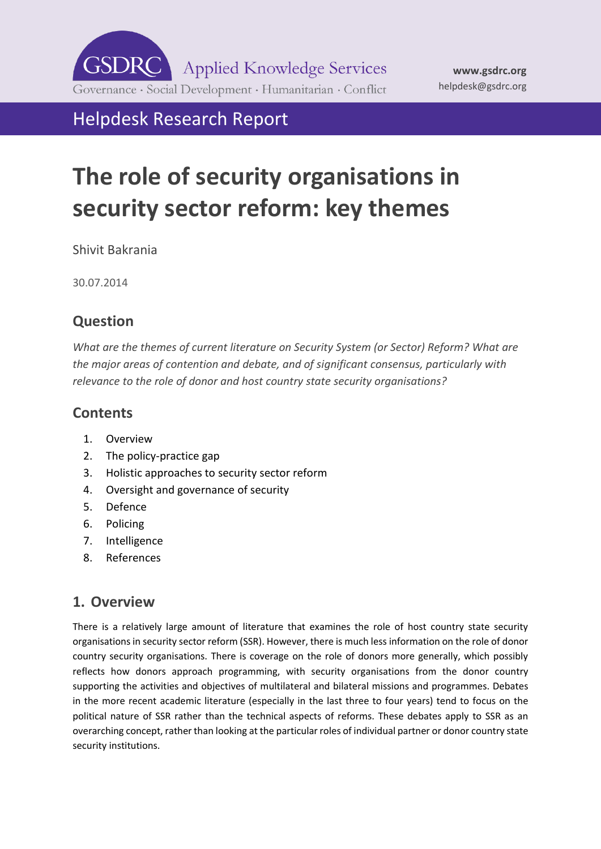**GSDRC Applied Knowledge Services** Governance · Social Development · Humanitarian · Conflict

# Helpdesk Research Report

# **The role of security organisations in security sector reform: key themes**

Shivit Bakrania

30.07.2014

# <span id="page-0-0"></span>**Question**

*What are the themes of current literature on Security System (or Sector) Reform? What are the major areas of contention and debate, and of significant consensus, particularly with relevance to the role of donor and host country state security organisations?* 

# **[Contents](#page-0-0)**

- 1. [Overview](#page-0-1)
- 2. [The policy-practice gap](#page-2-0)
- 3. [Holistic approaches to security sector reform](#page-3-0)
- 4. [Oversight and governance of security](#page-5-0)
- 5. [Defence](#page-6-0)
- 6. [Policing](#page-8-0)
- 7. [Intelligence](#page-9-0)
- <span id="page-0-1"></span>8. [References](#page-10-0)

# **1. Overview**

There is a relatively large amount of literature that examines the role of host country state security organisations in security sector reform (SSR). However, there is much less information on the role of donor country security organisations. There is coverage on the role of donors more generally, which possibly reflects how donors approach programming, with security organisations from the donor country supporting the activities and objectives of multilateral and bilateral missions and programmes. Debates in the more recent academic literature (especially in the last three to four years) tend to focus on the political nature of SSR rather than the technical aspects of reforms. These debates apply to SSR as an overarching concept, rather than looking at the particular roles of individual partner or donor country state security institutions.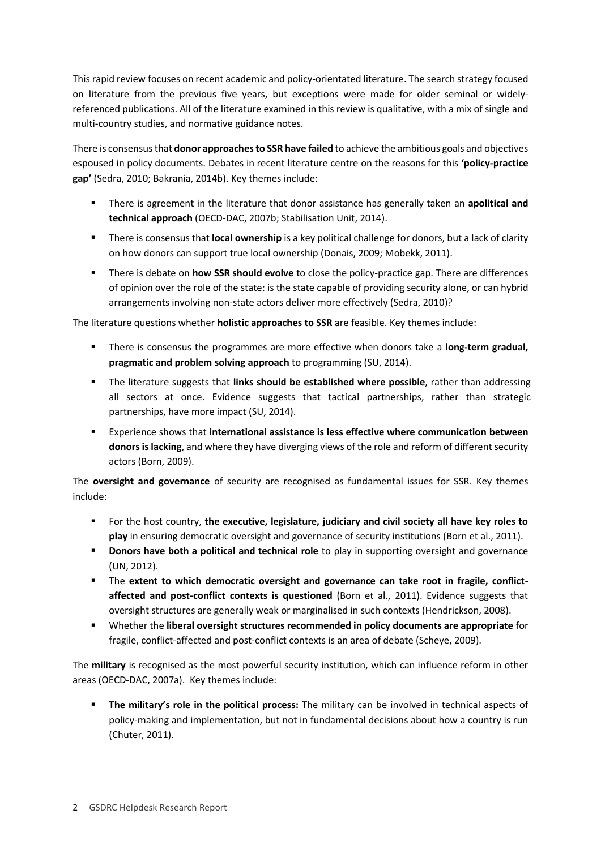This rapid review focuses on recent academic and policy-orientated literature. The search strategy focused on literature from the previous five years, but exceptions were made for older seminal or widelyreferenced publications. All of the literature examined in this review is qualitative, with a mix of single and multi-country studies, and normative guidance notes.

There is consensus that **donor approaches to SSR have failed** to achieve the ambitious goals and objectives espoused in policy documents. Debates in recent literature centre on the reasons for this **'policy-practice gap'** (Sedra, 2010; Bakrania, 2014b). Key themes include:

- There is agreement in the literature that donor assistance has generally taken an **apolitical and technical approach** (OECD-DAC, 2007b; Stabilisation Unit, 2014).
- There is consensus that **local ownership** is a key political challenge for donors, but a lack of clarity on how donors can support true local ownership (Donais, 2009; Mobekk, 2011).
- There is debate on **how SSR should evolve** to close the policy-practice gap. There are differences of opinion over the role of the state: is the state capable of providing security alone, or can hybrid arrangements involving non-state actors deliver more effectively (Sedra, 2010)?

The literature questions whether **holistic approaches to SSR** are feasible. Key themes include:

- There is consensus the programmes are more effective when donors take a **long-term gradual, pragmatic and problem solving approach** to programming (SU, 2014).
- The literature suggests that **links should be established where possible**, rather than addressing all sectors at once. Evidence suggests that tactical partnerships, rather than strategic partnerships, have more impact (SU, 2014).
- Experience shows that **international assistance is less effective where communication between donors is lacking**, and where they have diverging views of the role and reform of different security actors (Born, 2009).

The **oversight and governance** of security are recognised as fundamental issues for SSR. Key themes include:

- For the host country, **the executive, legislature, judiciary and civil society all have key roles to play** in ensuring democratic oversight and governance of security institutions (Born et al., 2011).
- **Donors have both a political and technical role** to play in supporting oversight and governance (UN, 2012).
- The **extent to which democratic oversight and governance can take root in fragile, conflictaffected and post-conflict contexts is questioned** (Born et al., 2011). Evidence suggests that oversight structures are generally weak or marginalised in such contexts (Hendrickson, 2008).
- Whether the **liberal oversight structures recommended in policy documents are appropriate** for fragile, conflict-affected and post-conflict contexts is an area of debate (Scheye, 2009).

The **military** is recognised as the most powerful security institution, which can influence reform in other areas (OECD-DAC, 2007a). Key themes include:

**The military's role in the political process:** The military can be involved in technical aspects of policy-making and implementation, but not in fundamental decisions about how a country is run (Chuter, 2011).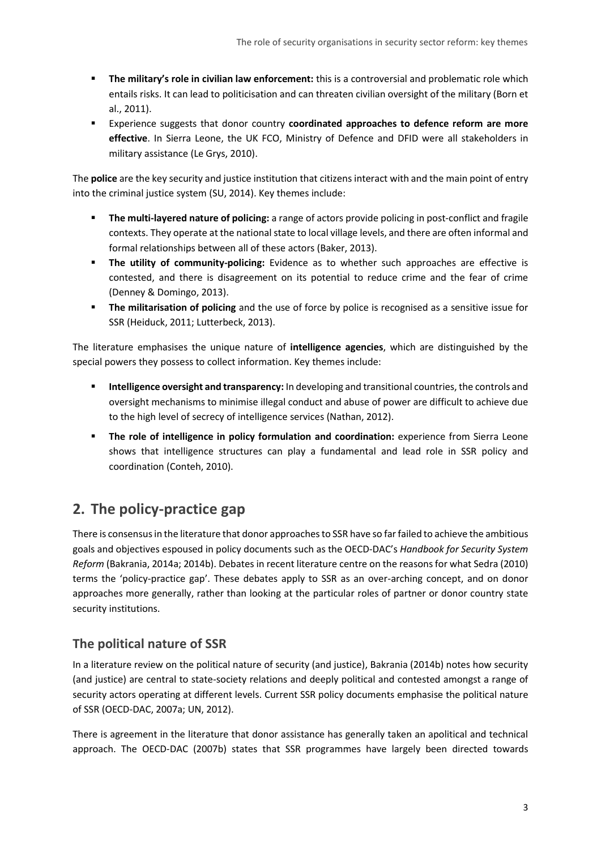- **The military's role in civilian law enforcement:** this is a controversial and problematic role which entails risks. It can lead to politicisation and can threaten civilian oversight of the military (Born et al., 2011).
- Experience suggests that donor country **coordinated approaches to defence reform are more effective**. In Sierra Leone, the UK FCO, Ministry of Defence and DFID were all stakeholders in military assistance (Le Grys, 2010).

The **police** are the key security and justice institution that citizens interact with and the main point of entry into the criminal justice system (SU, 2014). Key themes include:

- **The multi-layered nature of policing:** a range of actors provide policing in post-conflict and fragile contexts. They operate at the national state to local village levels, and there are often informal and formal relationships between all of these actors (Baker, 2013).
- **The utility of community-policing:** Evidence as to whether such approaches are effective is contested, and there is disagreement on its potential to reduce crime and the fear of crime (Denney & Domingo, 2013).
- **The militarisation of policing** and the use of force by police is recognised as a sensitive issue for SSR (Heiduck, 2011; Lutterbeck, 2013).

The literature emphasises the unique nature of **intelligence agencies**, which are distinguished by the special powers they possess to collect information. Key themes include:

- **Intelligence oversight and transparency:** In developing and transitional countries, the controls and oversight mechanisms to minimise illegal conduct and abuse of power are difficult to achieve due to the high level of secrecy of intelligence services (Nathan, 2012).
- **The role of intelligence in policy formulation and coordination:** experience from Sierra Leone shows that intelligence structures can play a fundamental and lead role in SSR policy and coordination (Conteh, 2010).

# <span id="page-2-0"></span>**2. The policy-practice gap**

There is consensus in the literature that donor approaches to SSR have so far failed to achieve the ambitious goals and objectives espoused in policy documents such as the OECD-DAC's *Handbook for Security System Reform* (Bakrania, 2014a; 2014b). Debates in recent literature centre on the reasons for what Sedra (2010) terms the 'policy-practice gap'. These debates apply to SSR as an over-arching concept, and on donor approaches more generally, rather than looking at the particular roles of partner or donor country state security institutions.

# **The political nature of SSR**

In a literature review on the political nature of security (and justice), Bakrania (2014b) notes how security (and justice) are central to state-society relations and deeply political and contested amongst a range of security actors operating at different levels. Current SSR policy documents emphasise the political nature of SSR (OECD-DAC, 2007a; UN, 2012).

There is agreement in the literature that donor assistance has generally taken an apolitical and technical approach. The OECD-DAC (2007b) states that SSR programmes have largely been directed towards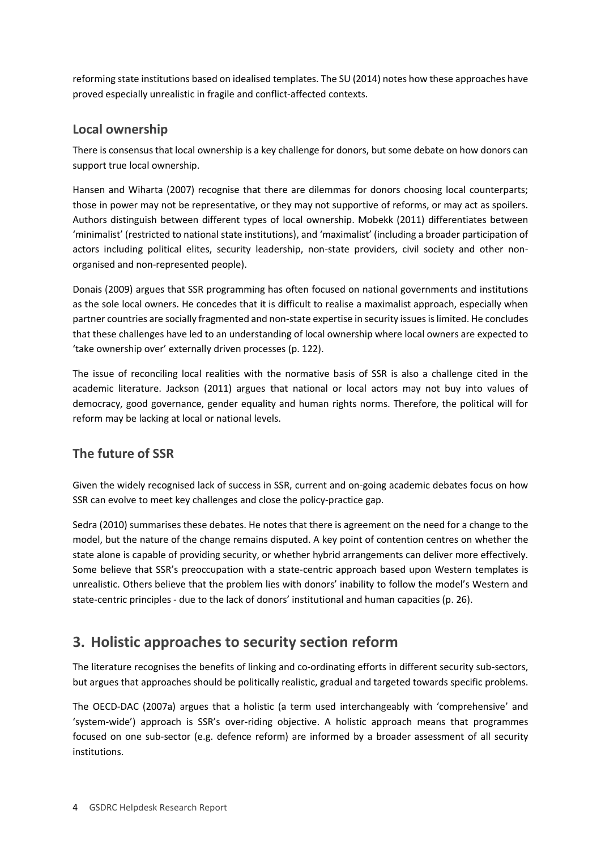reforming state institutions based on idealised templates. The SU (2014) notes how these approaches have proved especially unrealistic in fragile and conflict-affected contexts.

### **Local ownership**

There is consensus that local ownership is a key challenge for donors, but some debate on how donors can support true local ownership.

Hansen and Wiharta (2007) recognise that there are dilemmas for donors choosing local counterparts; those in power may not be representative, or they may not supportive of reforms, or may act as spoilers. Authors distinguish between different types of local ownership. Mobekk (2011) differentiates between 'minimalist' (restricted to national state institutions), and 'maximalist' (including a broader participation of actors including political elites, security leadership, non-state providers, civil society and other nonorganised and non-represented people).

Donais (2009) argues that SSR programming has often focused on national governments and institutions as the sole local owners. He concedes that it is difficult to realise a maximalist approach, especially when partner countries are socially fragmented and non-state expertise in security issues is limited. He concludes that these challenges have led to an understanding of local ownership where local owners are expected to 'take ownership over' externally driven processes (p. 122).

The issue of reconciling local realities with the normative basis of SSR is also a challenge cited in the academic literature. Jackson (2011) argues that national or local actors may not buy into values of democracy, good governance, gender equality and human rights norms. Therefore, the political will for reform may be lacking at local or national levels.

# **The future of SSR**

Given the widely recognised lack of success in SSR, current and on-going academic debates focus on how SSR can evolve to meet key challenges and close the policy-practice gap.

Sedra (2010) summarises these debates. He notes that there is agreement on the need for a change to the model, but the nature of the change remains disputed. A key point of contention centres on whether the state alone is capable of providing security, or whether hybrid arrangements can deliver more effectively. Some believe that SSR's preoccupation with a state-centric approach based upon Western templates is unrealistic. Others believe that the problem lies with donors' inability to follow the model's Western and state-centric principles - due to the lack of donors' institutional and human capacities (p. 26).

# <span id="page-3-0"></span>**3. Holistic approaches to security section reform**

The literature recognises the benefits of linking and co-ordinating efforts in different security sub-sectors, but argues that approaches should be politically realistic, gradual and targeted towards specific problems.

The OECD-DAC (2007a) argues that a holistic (a term used interchangeably with 'comprehensive' and 'system-wide') approach is SSR's over-riding objective. A holistic approach means that programmes focused on one sub-sector (e.g. defence reform) are informed by a broader assessment of all security institutions.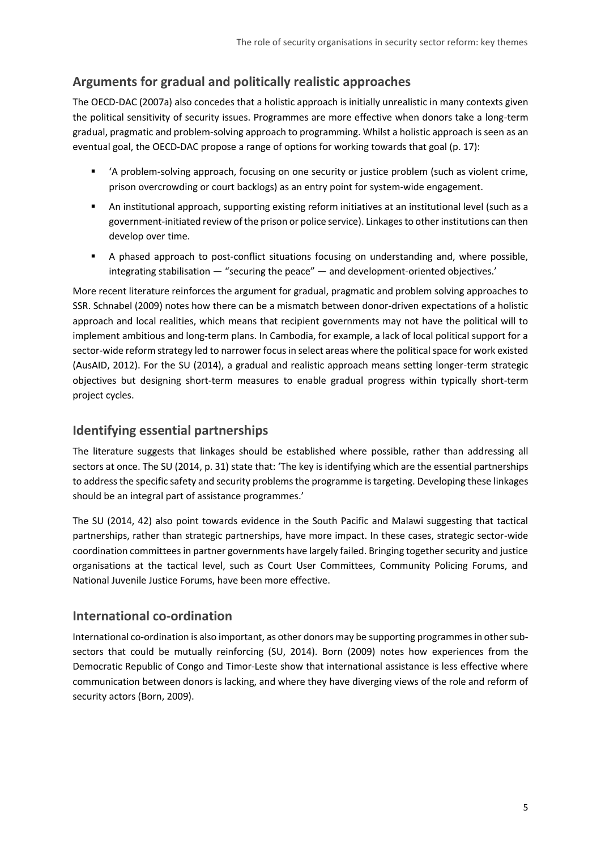# **Arguments for gradual and politically realistic approaches**

The OECD-DAC (2007a) also concedes that a holistic approach is initially unrealistic in many contexts given the political sensitivity of security issues. Programmes are more effective when donors take a long-term gradual, pragmatic and problem-solving approach to programming. Whilst a holistic approach is seen as an eventual goal, the OECD-DAC propose a range of options for working towards that goal (p. 17):

- 'A problem-solving approach, focusing on one security or justice problem (such as violent crime, prison overcrowding or court backlogs) as an entry point for system-wide engagement.
- An institutional approach, supporting existing reform initiatives at an institutional level (such as a government-initiated review of the prison or police service). Linkages to other institutions can then develop over time.
- A phased approach to post-conflict situations focusing on understanding and, where possible, integrating stabilisation — "securing the peace" — and development-oriented objectives.'

More recent literature reinforces the argument for gradual, pragmatic and problem solving approaches to SSR. Schnabel (2009) notes how there can be a mismatch between donor-driven expectations of a holistic approach and local realities, which means that recipient governments may not have the political will to implement ambitious and long-term plans. In Cambodia, for example, a lack of local political support for a sector-wide reform strategy led to narrower focus in select areas where the political space for work existed (AusAID, 2012). For the SU (2014), a gradual and realistic approach means setting longer-term strategic objectives but designing short-term measures to enable gradual progress within typically short-term project cycles.

### **Identifying essential partnerships**

The literature suggests that linkages should be established where possible, rather than addressing all sectors at once. The SU (2014, p. 31) state that: 'The key is identifying which are the essential partnerships to address the specific safety and security problems the programme is targeting. Developing these linkages should be an integral part of assistance programmes.'

The SU (2014, 42) also point towards evidence in the South Pacific and Malawi suggesting that tactical partnerships, rather than strategic partnerships, have more impact. In these cases, strategic sector-wide coordination committees in partner governments have largely failed. Bringing together security and justice organisations at the tactical level, such as Court User Committees, Community Policing Forums, and National Juvenile Justice Forums, have been more effective.

### **International co-ordination**

International co-ordination is also important, as other donors may be supporting programmes in other subsectors that could be mutually reinforcing (SU, 2014). Born (2009) notes how experiences from the Democratic Republic of Congo and Timor-Leste show that international assistance is less effective where communication between donors is lacking, and where they have diverging views of the role and reform of security actors (Born, 2009).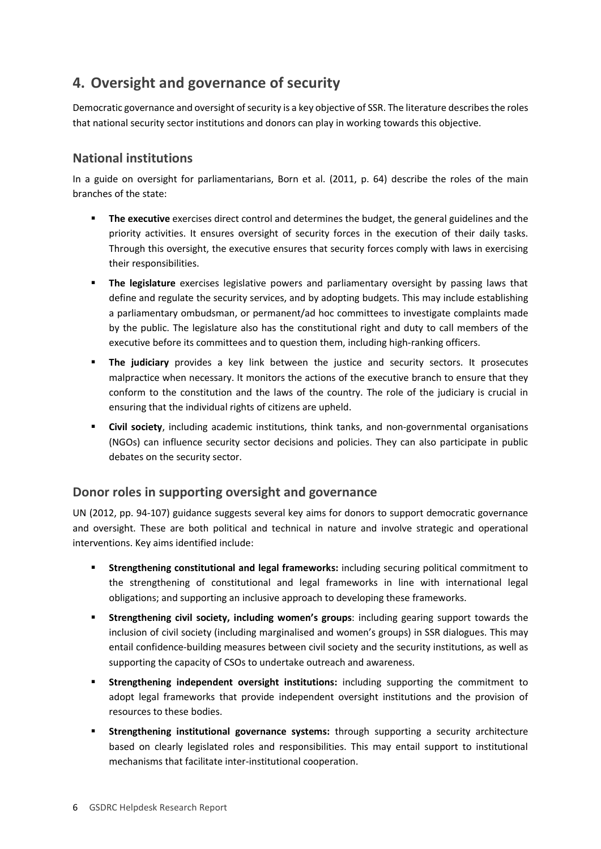# <span id="page-5-0"></span>**4. Oversight and governance of security**

Democratic governance and oversight of security is a key objective of SSR. The literature describes the roles that national security sector institutions and donors can play in working towards this objective.

# **National institutions**

In a guide on oversight for parliamentarians, Born et al. (2011, p. 64) describe the roles of the main branches of the state:

- **The executive** exercises direct control and determines the budget, the general guidelines and the priority activities. It ensures oversight of security forces in the execution of their daily tasks. Through this oversight, the executive ensures that security forces comply with laws in exercising their responsibilities.
- **The legislature** exercises legislative powers and parliamentary oversight by passing laws that define and regulate the security services, and by adopting budgets. This may include establishing a parliamentary ombudsman, or permanent/ad hoc committees to investigate complaints made by the public. The legislature also has the constitutional right and duty to call members of the executive before its committees and to question them, including high-ranking officers.
- **The judiciary** provides a key link between the justice and security sectors. It prosecutes malpractice when necessary. It monitors the actions of the executive branch to ensure that they conform to the constitution and the laws of the country. The role of the judiciary is crucial in ensuring that the individual rights of citizens are upheld.
- **Civil society**, including academic institutions, think tanks, and non-governmental organisations (NGOs) can influence security sector decisions and policies. They can also participate in public debates on the security sector.

#### **Donor roles in supporting oversight and governance**

UN (2012, pp. 94-107) guidance suggests several key aims for donors to support democratic governance and oversight. These are both political and technical in nature and involve strategic and operational interventions. Key aims identified include:

- **Strengthening constitutional and legal frameworks:** including securing political commitment to the strengthening of constitutional and legal frameworks in line with international legal obligations; and supporting an inclusive approach to developing these frameworks.
- **Strengthening civil society, including women's groups**: including gearing support towards the inclusion of civil society (including marginalised and women's groups) in SSR dialogues. This may entail confidence-building measures between civil society and the security institutions, as well as supporting the capacity of CSOs to undertake outreach and awareness.
- **Strengthening independent oversight institutions:** including supporting the commitment to adopt legal frameworks that provide independent oversight institutions and the provision of resources to these bodies.
- **Strengthening institutional governance systems:** through supporting a security architecture based on clearly legislated roles and responsibilities. This may entail support to institutional mechanisms that facilitate inter-institutional cooperation.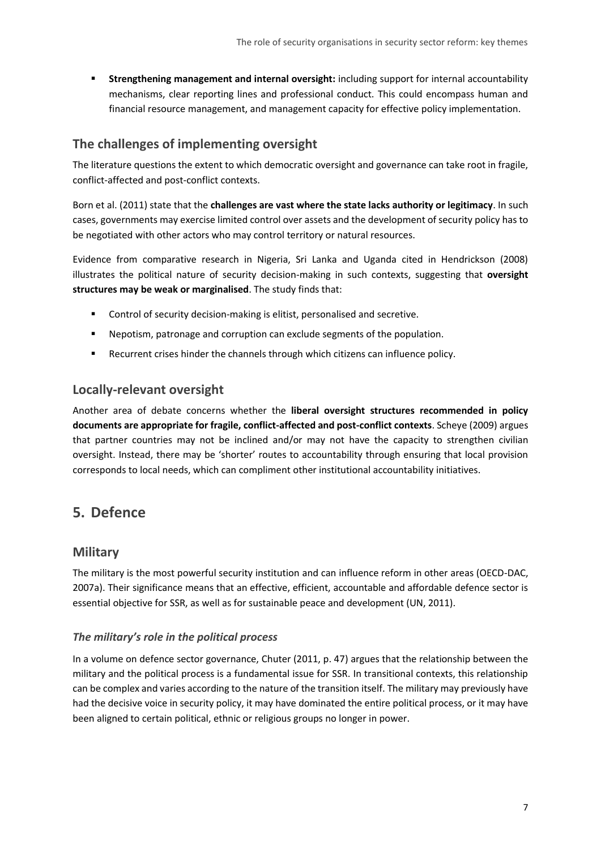**Strengthening management and internal oversight:** including support for internal accountability mechanisms, clear reporting lines and professional conduct. This could encompass human and financial resource management, and management capacity for effective policy implementation.

### **The challenges of implementing oversight**

The literature questions the extent to which democratic oversight and governance can take root in fragile, conflict-affected and post-conflict contexts.

Born et al. (2011) state that the **challenges are vast where the state lacks authority or legitimacy**. In such cases, governments may exercise limited control over assets and the development of security policy has to be negotiated with other actors who may control territory or natural resources.

Evidence from comparative research in Nigeria, Sri Lanka and Uganda cited in Hendrickson (2008) illustrates the political nature of security decision-making in such contexts, suggesting that **oversight structures may be weak or marginalised**. The study finds that:

- Control of security decision-making is elitist, personalised and secretive.
- Nepotism, patronage and corruption can exclude segments of the population.
- **Recurrent crises hinder the channels through which citizens can influence policy.**

#### **Locally-relevant oversight**

Another area of debate concerns whether the **liberal oversight structures recommended in policy documents are appropriate for fragile, conflict-affected and post-conflict contexts**. Scheye (2009) argues that partner countries may not be inclined and/or may not have the capacity to strengthen civilian oversight. Instead, there may be 'shorter' routes to accountability through ensuring that local provision corresponds to local needs, which can compliment other institutional accountability initiatives.

# <span id="page-6-0"></span>**5. Defence**

#### **Military**

The military is the most powerful security institution and can influence reform in other areas (OECD-DAC, 2007a). Their significance means that an effective, efficient, accountable and affordable defence sector is essential objective for SSR, as well as for sustainable peace and development (UN, 2011).

#### *The military's role in the political process*

In a volume on defence sector governance, Chuter (2011, p. 47) argues that the relationship between the military and the political process is a fundamental issue for SSR. In transitional contexts, this relationship can be complex and varies according to the nature of the transition itself. The military may previously have had the decisive voice in security policy, it may have dominated the entire political process, or it may have been aligned to certain political, ethnic or religious groups no longer in power.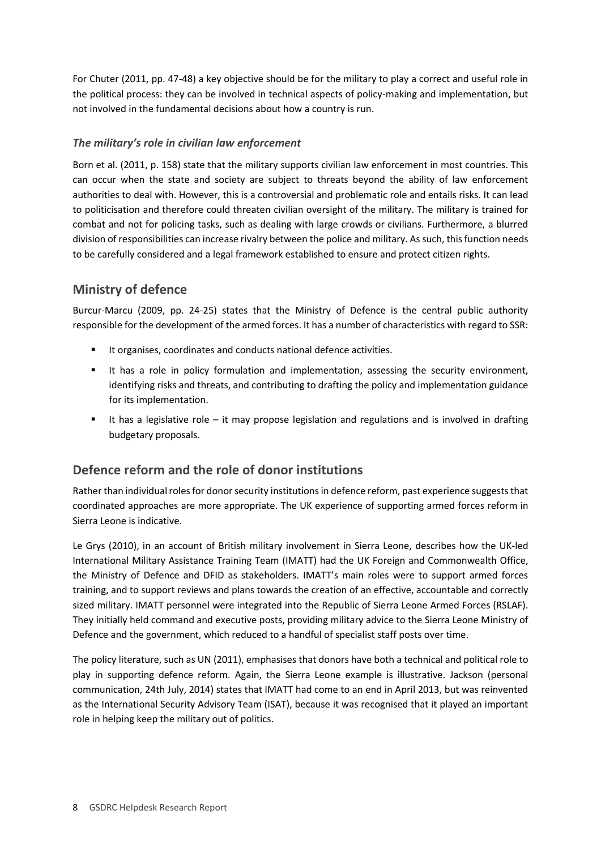For Chuter (2011, pp. 47-48) a key objective should be for the military to play a correct and useful role in the political process: they can be involved in technical aspects of policy-making and implementation, but not involved in the fundamental decisions about how a country is run.

#### *The military's role in civilian law enforcement*

Born et al. (2011, p. 158) state that the military supports civilian law enforcement in most countries. This can occur when the state and society are subject to threats beyond the ability of law enforcement authorities to deal with. However, this is a controversial and problematic role and entails risks. It can lead to politicisation and therefore could threaten civilian oversight of the military. The military is trained for combat and not for policing tasks, such as dealing with large crowds or civilians. Furthermore, a blurred division of responsibilities can increase rivalry between the police and military. As such, this function needs to be carefully considered and a legal framework established to ensure and protect citizen rights.

# **Ministry of defence**

Burcur-Marcu (2009, pp. 24-25) states that the Ministry of Defence is the central public authority responsible for the development of the armed forces. It has a number of characteristics with regard to SSR:

- It organises, coordinates and conducts national defence activities.
- It has a role in policy formulation and implementation, assessing the security environment, identifying risks and threats, and contributing to drafting the policy and implementation guidance for its implementation.
- It has a legislative role it may propose legislation and regulations and is involved in drafting budgetary proposals.

# **Defence reform and the role of donor institutions**

Rather than individual roles for donor security institutions in defence reform, past experience suggests that coordinated approaches are more appropriate. The UK experience of supporting armed forces reform in Sierra Leone is indicative.

Le Grys (2010), in an account of British military involvement in Sierra Leone, describes how the UK-led International Military Assistance Training Team (IMATT) had the UK Foreign and Commonwealth Office, the Ministry of Defence and DFID as stakeholders. IMATT's main roles were to support armed forces training, and to support reviews and plans towards the creation of an effective, accountable and correctly sized military. IMATT personnel were integrated into the Republic of Sierra Leone Armed Forces (RSLAF). They initially held command and executive posts, providing military advice to the Sierra Leone Ministry of Defence and the government, which reduced to a handful of specialist staff posts over time.

The policy literature, such as UN (2011), emphasises that donors have both a technical and political role to play in supporting defence reform. Again, the Sierra Leone example is illustrative. Jackson (personal communication, 24th July, 2014) states that IMATT had come to an end in April 2013, but was reinvented as the International Security Advisory Team (ISAT), because it was recognised that it played an important role in helping keep the military out of politics.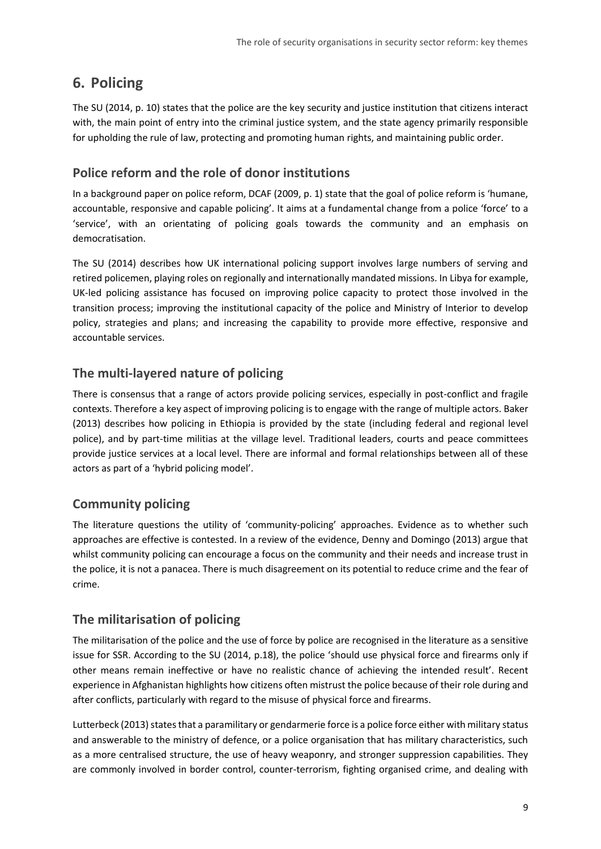# <span id="page-8-0"></span>**6. Policing**

The SU (2014, p. 10) states that the police are the key security and justice institution that citizens interact with, the main point of entry into the criminal justice system, and the state agency primarily responsible for upholding the rule of law, protecting and promoting human rights, and maintaining public order.

### **Police reform and the role of donor institutions**

In a background paper on police reform, DCAF (2009, p. 1) state that the goal of police reform is 'humane, accountable, responsive and capable policing'. It aims at a fundamental change from a police 'force' to a 'service', with an orientating of policing goals towards the community and an emphasis on democratisation.

The SU (2014) describes how UK international policing support involves large numbers of serving and retired policemen, playing roles on regionally and internationally mandated missions. In Libya for example, UK-led policing assistance has focused on improving police capacity to protect those involved in the transition process; improving the institutional capacity of the police and Ministry of Interior to develop policy, strategies and plans; and increasing the capability to provide more effective, responsive and accountable services.

# **The multi-layered nature of policing**

There is consensus that a range of actors provide policing services, especially in post-conflict and fragile contexts. Therefore a key aspect of improving policing is to engage with the range of multiple actors. Baker (2013) describes how policing in Ethiopia is provided by the state (including federal and regional level police), and by part-time militias at the village level. Traditional leaders, courts and peace committees provide justice services at a local level. There are informal and formal relationships between all of these actors as part of a 'hybrid policing model'.

# **Community policing**

The literature questions the utility of 'community-policing' approaches. Evidence as to whether such approaches are effective is contested. In a review of the evidence, Denny and Domingo (2013) argue that whilst community policing can encourage a focus on the community and their needs and increase trust in the police, it is not a panacea. There is much disagreement on its potential to reduce crime and the fear of crime.

### **The militarisation of policing**

The militarisation of the police and the use of force by police are recognised in the literature as a sensitive issue for SSR. According to the SU (2014, p.18), the police 'should use physical force and firearms only if other means remain ineffective or have no realistic chance of achieving the intended result'. Recent experience in Afghanistan highlights how citizens often mistrust the police because of their role during and after conflicts, particularly with regard to the misuse of physical force and firearms.

Lutterbeck (2013) states that a paramilitary or gendarmerie force is a police force either with military status and answerable to the ministry of defence, or a police organisation that has military characteristics, such as a more centralised structure, the use of heavy weaponry, and stronger suppression capabilities. They are commonly involved in border control, counter-terrorism, fighting organised crime, and dealing with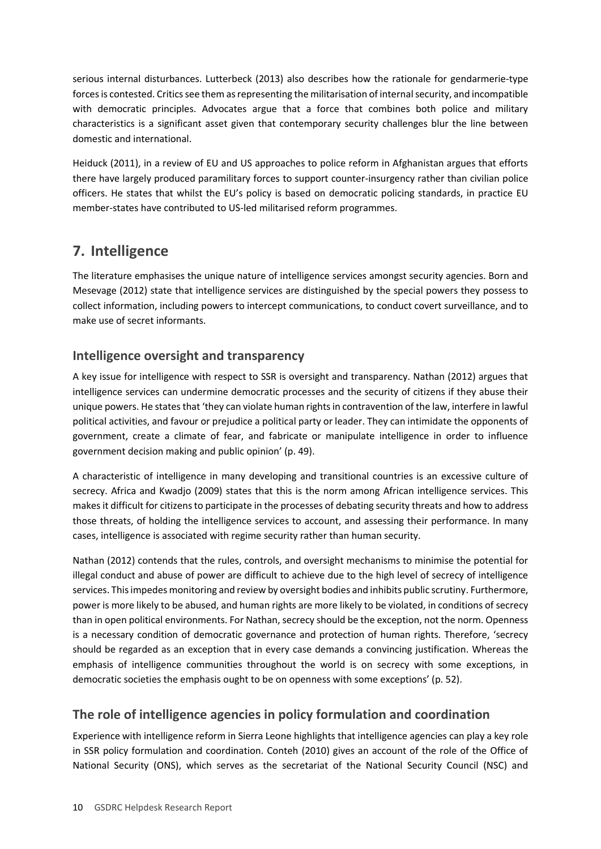serious internal disturbances. Lutterbeck (2013) also describes how the rationale for gendarmerie-type forces is contested. Critics see them as representing the militarisation of internal security, and incompatible with democratic principles. Advocates argue that a force that combines both police and military characteristics is a significant asset given that contemporary security challenges blur the line between domestic and international.

Heiduck (2011), in a review of EU and US approaches to police reform in Afghanistan argues that efforts there have largely produced paramilitary forces to support counter-insurgency rather than civilian police officers. He states that whilst the EU's policy is based on democratic policing standards, in practice EU member-states have contributed to US-led militarised reform programmes.

# <span id="page-9-0"></span>**7. Intelligence**

The literature emphasises the unique nature of intelligence services amongst security agencies. Born and Mesevage (2012) state that intelligence services are distinguished by the special powers they possess to collect information, including powers to intercept communications, to conduct covert surveillance, and to make use of secret informants.

# **Intelligence oversight and transparency**

A key issue for intelligence with respect to SSR is oversight and transparency. Nathan (2012) argues that intelligence services can undermine democratic processes and the security of citizens if they abuse their unique powers. He states that 'they can violate human rights in contravention of the law, interfere in lawful political activities, and favour or prejudice a political party or leader. They can intimidate the opponents of government, create a climate of fear, and fabricate or manipulate intelligence in order to influence government decision making and public opinion' (p. 49).

A characteristic of intelligence in many developing and transitional countries is an excessive culture of secrecy. Africa and Kwadjo (2009) states that this is the norm among African intelligence services. This makes it difficult for citizens to participate in the processes of debating security threats and how to address those threats, of holding the intelligence services to account, and assessing their performance. In many cases, intelligence is associated with regime security rather than human security.

Nathan (2012) contends that the rules, controls, and oversight mechanisms to minimise the potential for illegal conduct and abuse of power are difficult to achieve due to the high level of secrecy of intelligence services. This impedes monitoring and review by oversight bodies and inhibits public scrutiny. Furthermore, power is more likely to be abused, and human rights are more likely to be violated, in conditions of secrecy than in open political environments. For Nathan, secrecy should be the exception, not the norm. Openness is a necessary condition of democratic governance and protection of human rights. Therefore, 'secrecy should be regarded as an exception that in every case demands a convincing justification. Whereas the emphasis of intelligence communities throughout the world is on secrecy with some exceptions, in democratic societies the emphasis ought to be on openness with some exceptions' (p. 52).

# **The role of intelligence agencies in policy formulation and coordination**

Experience with intelligence reform in Sierra Leone highlights that intelligence agencies can play a key role in SSR policy formulation and coordination. Conteh (2010) gives an account of the role of the Office of National Security (ONS), which serves as the secretariat of the National Security Council (NSC) and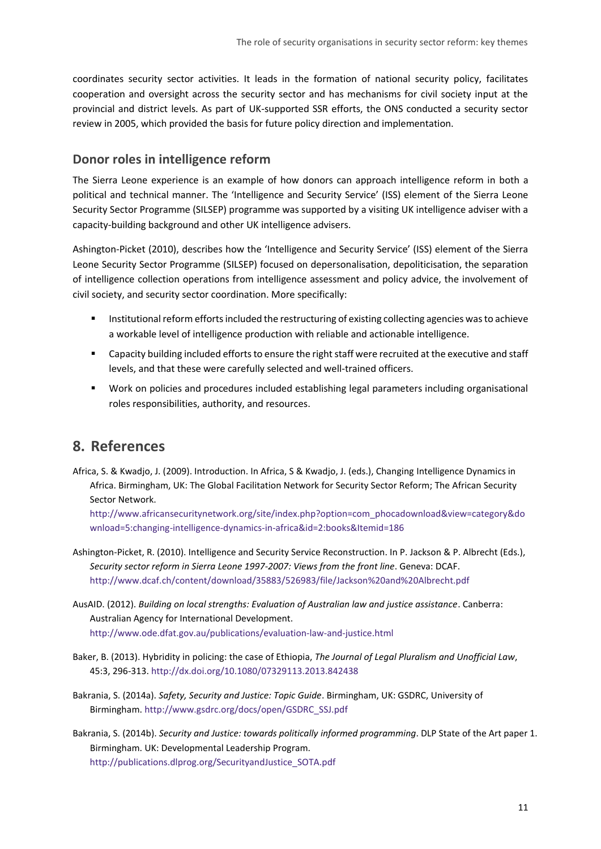coordinates security sector activities. It leads in the formation of national security policy, facilitates cooperation and oversight across the security sector and has mechanisms for civil society input at the provincial and district levels. As part of UK-supported SSR efforts, the ONS conducted a security sector review in 2005, which provided the basis for future policy direction and implementation.

#### **Donor roles in intelligence reform**

The Sierra Leone experience is an example of how donors can approach intelligence reform in both a political and technical manner. The 'Intelligence and Security Service' (ISS) element of the Sierra Leone Security Sector Programme (SILSEP) programme was supported by a visiting UK intelligence adviser with a capacity-building background and other UK intelligence advisers.

Ashington-Picket (2010), describes how the 'Intelligence and Security Service' (ISS) element of the Sierra Leone Security Sector Programme (SILSEP) focused on depersonalisation, depoliticisation, the separation of intelligence collection operations from intelligence assessment and policy advice, the involvement of civil society, and security sector coordination. More specifically:

- **Institutional reform efforts included the restructuring of existing collecting agencies was to achieve** a workable level of intelligence production with reliable and actionable intelligence.
- Capacity building included efforts to ensure the right staff were recruited at the executive and staff levels, and that these were carefully selected and well-trained officers.
- Work on policies and procedures included establishing legal parameters including organisational roles responsibilities, authority, and resources.

# <span id="page-10-0"></span>**8. References**

Africa, S. & Kwadjo, J. (2009). Introduction. In Africa, S & Kwadjo, J. (eds.), Changing Intelligence Dynamics in Africa. Birmingham, UK: The Global Facilitation Network for Security Sector Reform; The African Security Sector Network.

[http://www.africansecuritynetwork.org/site/index.php?option=com\\_phocadownload&view=category&do](http://www.africansecuritynetwork.org/site/index.php?option=com_phocadownload&view=category&download=5:changing-intelligence-dynamics-in-africa&id=2:books&Itemid=186) [wnload=5:changing-intelligence-dynamics-in-africa&id=2:books&Itemid=186](http://www.africansecuritynetwork.org/site/index.php?option=com_phocadownload&view=category&download=5:changing-intelligence-dynamics-in-africa&id=2:books&Itemid=186) 

- Ashington-Picket, R. (2010). Intelligence and Security Service Reconstruction. In P. Jackson & P. Albrecht (Eds.), *Security sector reform in Sierra Leone 1997-2007: Views from the front line*. Geneva: DCAF. <http://www.dcaf.ch/content/download/35883/526983/file/Jackson%20and%20Albrecht.pdf>
- AusAID. (2012). *Building on local strengths: Evaluation of Australian law and justice assistance*. Canberra: Australian Agency for International Development. [http://www.ode.dfat.](http://www.ode.dfat.gov.au/publications/evaluation-law-and-justice.html)gov.au/publications/evaluation-law-and-justice.html
- Baker, B. (2013). Hybridity in policing: the case of Ethiopia, *The Journal of Legal Pluralism and Unofficial Law*, 45:3, 296-313.<http://dx.doi.org/10.1080/07329113.2013.842438>
- Bakrania, S. (2014a). *Safety, Security and Justice: Topic Guide*. Birmingham, UK: GSDRC, University of Birmingham. [http://www.gsdrc.org/docs/open/GSDRC\\_SSJ.pdf](http://www.gsdrc.org/docs/open/GSDRC_SSJ.pdf)
- Bakrania, S. (2014b). *Security and Justice: towards politically informed programming*. DLP State of the Art paper 1. Birmingham. UK: Developmental Leadership Program. [http://publications.dlprog.org/SecurityandJustice\\_SOTA.pdf](http://publications.dlprog.org/SecurityandJustice_SOTA.pdf)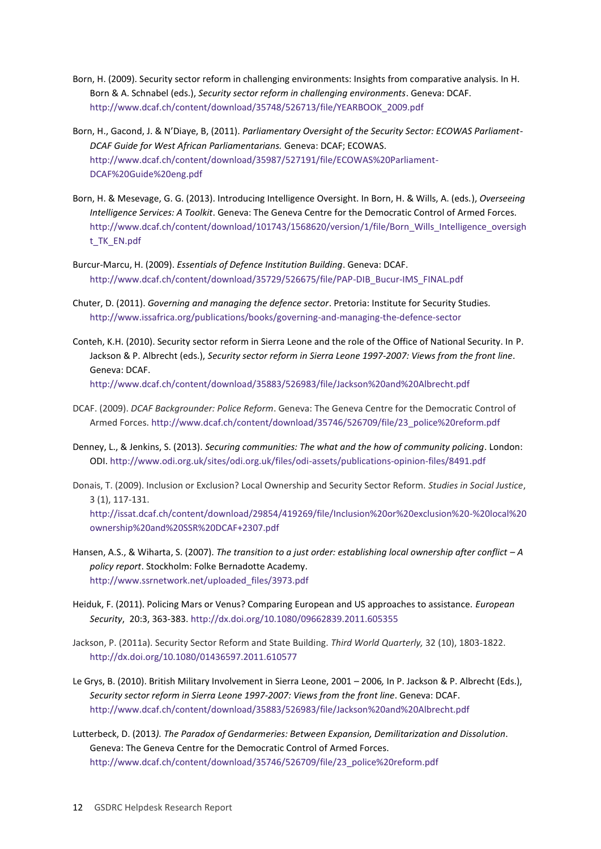- Born, H. (2009). Security sector reform in challenging environments: Insights from comparative analysis. In H. Born & A. Schnabel (eds.), *Security sector reform in challenging environments*. Geneva: DCAF. [http://www.dcaf.ch/content/download/35748/526713/file/YEARBOOK\\_2009.pdf](http://www.dcaf.ch/content/download/35748/526713/file/YEARBOOK_2009.pdf)
- Born, H., Gacond, J. & N'Diaye, B, (2011). *Parliamentary Oversight of the Security Sector: ECOWAS Parliament-DCAF Guide for West African Parliamentarians.* Geneva: DCAF; ECOWAS. [http://www.dcaf.ch/content/download/35987/527191/file/ECOWAS%20Parliament-](http://www.dcaf.ch/content/download/35987/527191/file/ECOWAS%20Parliament-DCAF%20Guide%20eng.pdf)[DCAF%20Guide%20eng.pdf](http://www.dcaf.ch/content/download/35987/527191/file/ECOWAS%20Parliament-DCAF%20Guide%20eng.pdf)
- Born, H. & Mesevage, G. G. (2013). Introducing Intelligence Oversight. In Born, H. & Wills, A. (eds.), *Overseeing Intelligence Services: A Toolkit*. Geneva: The Geneva Centre for the Democratic Control of Armed Forces. [http://www.dcaf.ch/content/download/101743/1568620/version/1/file/Born\\_Wills\\_Intelligence\\_oversigh](http://www.dcaf.ch/content/download/101743/1568620/version/1/file/Born_Wills_Intelligence_oversight_TK_EN.pdf) [t\\_TK\\_EN.pdf](http://www.dcaf.ch/content/download/101743/1568620/version/1/file/Born_Wills_Intelligence_oversight_TK_EN.pdf)
- Burcur-Marcu, H. (2009). *Essentials of Defence Institution Building*. Geneva: DCAF. [http://www.dcaf.ch/content/download/35729/526675/file/PAP-DIB\\_Bucur-IMS\\_FINAL.pdf](http://www.dcaf.ch/content/download/35729/526675/file/PAP-DIB_Bucur-IMS_FINAL.pdf)
- Chuter, D. (2011). *Governing and managing the defence sector*. Pretoria: Institute for Security Studies. <http://www.issafrica.org/publications/books/governing-and-managing-the-defence-sector>
- Conteh, K.H. (2010). Security sector reform in Sierra Leone and the role of the Office of National Security. In P. Jackson & P. Albrecht (eds.), *Security sector reform in Sierra Leone 1997-2007: Views from the front line*. Geneva: DCAF. <http://www.dcaf.ch/content/download/35883/526983/file/Jackson%20and%20Albrecht.pdf>
- DCAF. (2009). *DCAF Backgrounder: Police Reform*. Geneva: The Geneva Centre for the Democratic Control of Armed Forces. [http://www.dcaf.ch/content/download/35746/526709/file/23\\_police%20reform.pdf](http://www.dcaf.ch/content/download/35746/526709/file/23_police%20reform.pdf)
- Denney, L., & Jenkins, S. (2013). *Securing communities: The what and the how of community policing*. London: ODI.<http://www.odi.org.uk/sites/odi.org.uk/files/odi-assets/publications-opinion-files/8491.pdf>
- Donais, T. (2009). Inclusion or Exclusion? Local Ownership and Security Sector Reform. *Studies in Social Justice*, 3 (1), 117-131. [http://issat.dcaf.ch/content/download/29854/419269/file/Inclusion%20or%20exclusion%20-%20local%20](http://issat.dcaf.ch/content/download/29854/419269/file/Inclusion%20or%20exclusion%20-%20local%20ownership%20and%20SSR%20DCAF+2307.pdf) [ownership%20and%20SSR%20DCAF+2307.pdf](http://issat.dcaf.ch/content/download/29854/419269/file/Inclusion%20or%20exclusion%20-%20local%20ownership%20and%20SSR%20DCAF+2307.pdf)
- Hansen, A.S., & Wiharta, S. (2007). *The transition to a just order: establishing local ownership after conflict – A policy report*. Stockholm: Folke Bernadotte Academy. [http://www.ssrnetwork.net/uploaded\\_files/3973.pdf](http://www.ssrnetwork.net/uploaded_files/3973.pdf)
- Heiduk, F. (2011). Policing Mars or Venus? Comparing European and US approaches to assistance. *European Security*, 20:3, 363-383.<http://dx.doi.org/10.1080/09662839.2011.605355>
- Jackson, P. (2011a). Security Sector Reform and State Building. *Third World Quarterly,* 32 (10), 1803-1822. <http://dx.doi.org/10.1080/01436597.2011.610577>
- Le Grys, B. (2010). British Military Involvement in Sierra Leone, 2001 2006*,* In P. Jackson & P. Albrecht (Eds.), *Security sector reform in Sierra Leone 1997-2007: Views from the front line*. Geneva: DCAF. <http://www.dcaf.ch/content/download/35883/526983/file/Jackson%20and%20Albrecht.pdf>
- Lutterbeck, D. (2013*). The Paradox of Gendarmeries: Between Expansion, Demilitarization and Dissolution*. Geneva: The Geneva Centre for the Democratic Control of Armed Forces. [http://www.dcaf.ch/content/download/35746/526709/file/23\\_police%20reform.pdf](http://www.dcaf.ch/content/download/35746/526709/file/23_police%20reform.pdf)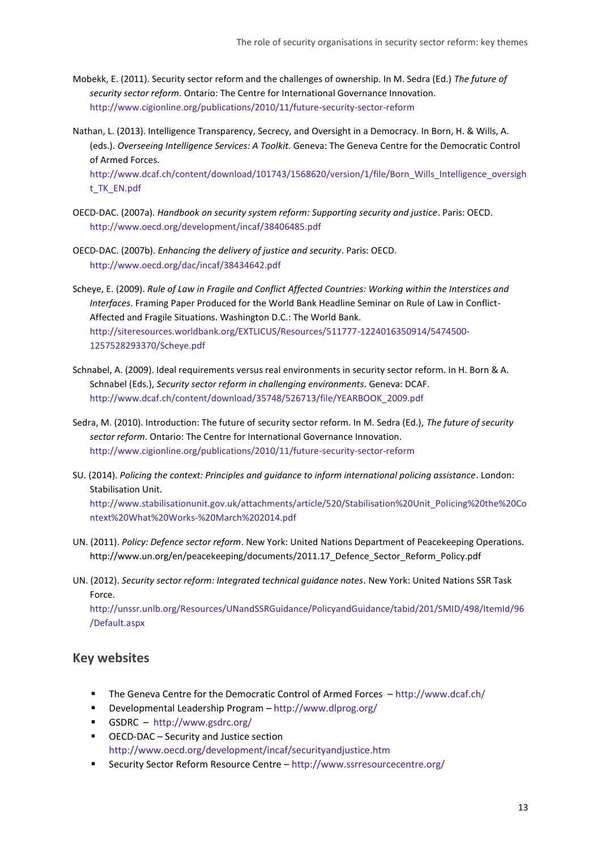- Mobekk, E. (2011). Security sector reform and the challenges of ownership. In M. Sedra (Ed.) *The future of security sector reform*. Ontario: The Centre for International Governance Innovation. <http://www.cigionline.org/publications/2010/11/future-security-sector-reform>
- Nathan, L. (2013). Intelligence Transparency, Secrecy, and Oversight in a Democracy. In Born, H. & Wills, A. (eds.). *Overseeing Intelligence Services: A Toolkit*. Geneva: The Geneva Centre for the Democratic Control of Armed Forces.

[http://www.dcaf.ch/content/download/101743/1568620/version/1/file/Born\\_Wills\\_Intelligence\\_oversigh](http://www.dcaf.ch/content/download/101743/1568620/version/1/file/Born_Wills_Intelligence_oversight_TK_EN.pdf) [t\\_TK\\_EN.pdf](http://www.dcaf.ch/content/download/101743/1568620/version/1/file/Born_Wills_Intelligence_oversight_TK_EN.pdf)

- OECD-DAC. (2007a). *Handbook on security system reform: Supporting security and justice*. Paris: OECD. <http://www.oecd.org/development/incaf/38406485.pdf>
- OECD-DAC. (2007b). *Enhancing the delivery of justice and security*. Paris: OECD. <http://www.oecd.org/dac/incaf/38434642.pdf>
- Scheye, E. (2009). *Rule of Law in Fragile and Conflict Affected Countries: Working within the Interstices and Interfaces*. Framing Paper Produced for the World Bank Headline Seminar on Rule of Law in Conflict-Affected and Fragile Situations. Washington D.C.: The World Bank. [http://siteresources.worldbank.org/EXTLICUS/Resources/511777-1224016350914/5474500-](http://siteresources.worldbank.org/EXTLICUS/Resources/511777-1224016350914/5474500-1257528293370/Scheye.pdf) [1257528293370/Scheye.pdf](http://siteresources.worldbank.org/EXTLICUS/Resources/511777-1224016350914/5474500-1257528293370/Scheye.pdf)
- Schnabel, A. (2009). Ideal requirements versus real environments in security sector reform. In H. Born & A. Schnabel (Eds.), *Security sector reform in challenging environments*. Geneva: DCAF. [http://www.dcaf.ch/content/download/35748/526713/file/YEARBOOK\\_2009.pdf](http://www.dcaf.ch/content/download/35748/526713/file/YEARBOOK_2009.pdf)
- Sedra, M. (2010). Introduction: The future of security sector reform. In M. Sedra (Ed.), *The future of security sector reform*. Ontario: The Centre for International Governance Innovation. <http://www.cigionline.org/publications/2010/11/future-security-sector-reform>
- SU. (2014). *Policing the context: Principles and guidance to inform international policing assistance*. London: Stabilisation Unit. [http://www.stabilisationunit.gov.uk/attachments/article/520/Stabilisation%20Unit\\_Policing%20the%20Co](http://www.stabilisationunit.gov.uk/attachments/article/520/Stabilisation%20Unit_Policing%20the%20Context%20What%20Works-%20March%202014.pdf) [ntext%20What%20Works-%20March%202014.pdf](http://www.stabilisationunit.gov.uk/attachments/article/520/Stabilisation%20Unit_Policing%20the%20Context%20What%20Works-%20March%202014.pdf)
- UN. (2011). *Policy: Defence sector reform*. New York: United Nations Department of Peacekeeping Operations. http://www.un.org/en/peacekeeping/documents/2011.17\_Defence\_Sector\_Reform\_Policy.pdf
- UN. (2012). *Security sector reform: Integrated technical guidance notes*. New York: United Nations SSR Task Force.

[http://unssr.unlb.org/Resources/UNandSSRGuidance/PolicyandGuidance/tabid/201/SMID/498/ItemId/96](http://unssr.unlb.org/Resources/UNandSSRGuidance/PolicyandGuidance/tabid/201/SMID/498/ItemId/96/Default.aspx) [/Default.aspx](http://unssr.unlb.org/Resources/UNandSSRGuidance/PolicyandGuidance/tabid/201/SMID/498/ItemId/96/Default.aspx) 

#### **Key websites**

- The Geneva Centre for the Democratic Control of Armed Forces <http://www.dcaf.ch/>
- Developmental Leadership Program <http://www.dlprog.org/>
- GSDRC <http://www.gsdrc.org/>
- OECD-DAC Security and Justice section <http://www.oecd.org/development/incaf/securityandjustice.htm>
- Security Sector Reform Resource Centre <http://www.ssrresourcecentre.org/>